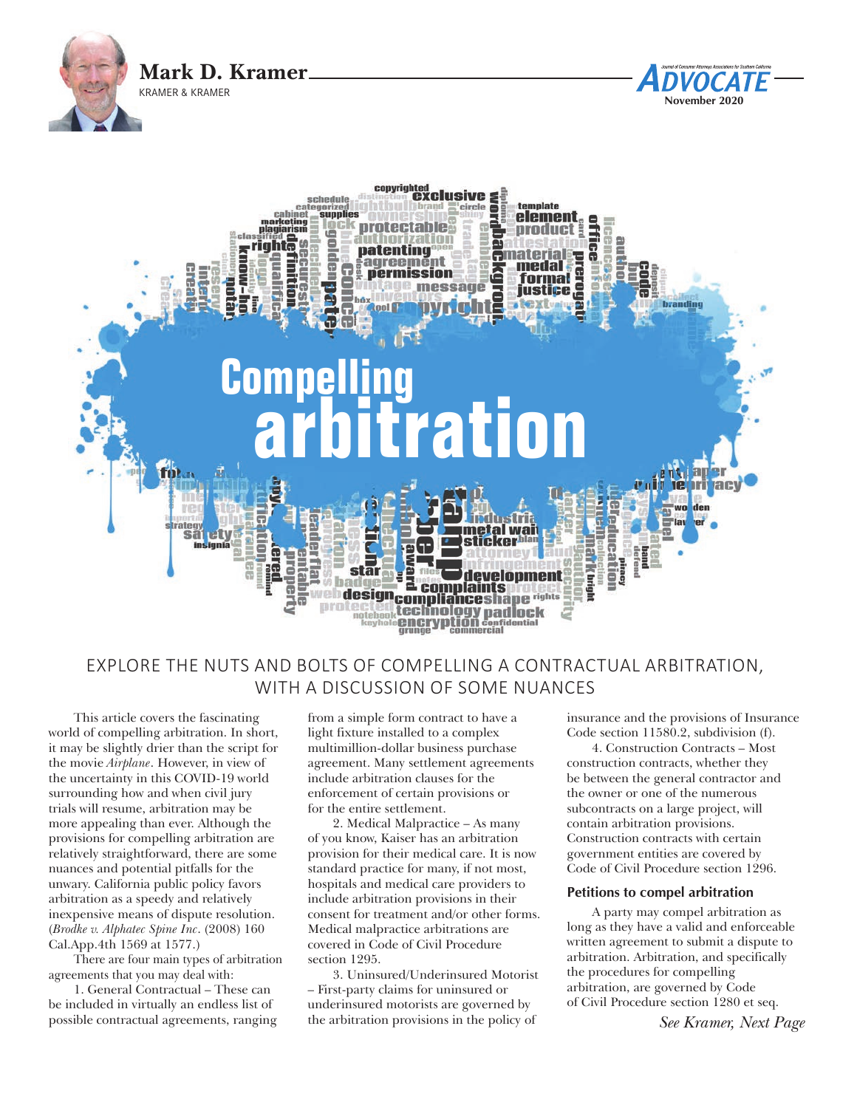



# EXPLORE THE NUTS AND BOLTS OF COMPELLING A CONTRACTUAL ARBITRATION, WITH A DISCUSSION OF SOME NUANCES

This article covers the fascinating world of compelling arbitration. In short, it may be slightly drier than the script for the movie *Airplane*. However, in view of the uncertainty in this COVID-19 world surrounding how and when civil jury trials will resume, arbitration may be more appealing than ever. Although the provisions for compelling arbitration are relatively straightforward, there are some nuances and potential pitfalls for the unwary. California public policy favors arbitration as a speedy and relatively inexpensive means of dispute resolution. (*Brodke v. Alphatec Spine Inc*. (2008) 160 Cal.App.4th 1569 at 1577.)

There are four main types of arbitration agreements that you may deal with:

1. General Contractual – These can be included in virtually an endless list of possible contractual agreements, ranging from a simple form contract to have a light fixture installed to a complex multimillion-dollar business purchase agreement. Many settlement agreements include arbitration clauses for the enforcement of certain provisions or for the entire settlement.

2. Medical Malpractice – As many of you know, Kaiser has an arbitration provision for their medical care. It is now standard practice for many, if not most, hospitals and medical care providers to include arbitration provisions in their consent for treatment and/or other forms. Medical malpractice arbitrations are covered in Code of Civil Procedure section 1295.

3. Uninsured/Underinsured Motorist – First-party claims for uninsured or underinsured motorists are governed by the arbitration provisions in the policy of

insurance and the provisions of Insurance Code section 11580.2, subdivision (f).

**November 2020**

DVOCATE

4. Construction Contracts – Most construction contracts, whether they be between the general contractor and the owner or one of the numerous subcontracts on a large project, will contain arbitration provisions. Construction contracts with certain government entities are covered by Code of Civil Procedure section 1296.

## **Petitions to compel arbitration**

A party may compel arbitration as long as they have a valid and enforceable written agreement to submit a dispute to arbitration. Arbitration, and specifically the procedures for compelling arbitration, are governed by Code of Civil Procedure section 1280 et seq.

*See Kramer, Next Page*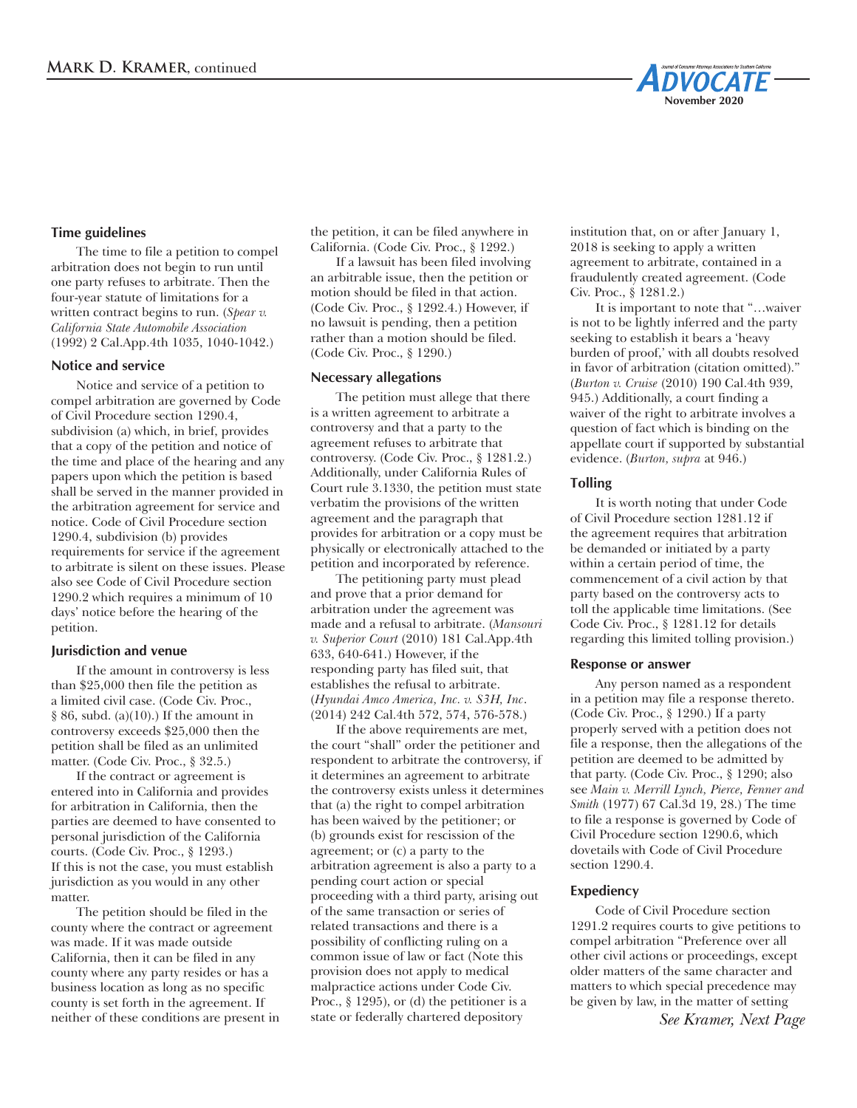

# **Time guidelines**

The time to file a petition to compel arbitration does not begin to run until one party refuses to arbitrate. Then the four-year statute of limitations for a written contract begins to run. (*Spear v. California State Automobile Association* (1992) 2 Cal.App.4th 1035, 1040-1042.)

#### **Notice and service**

Notice and service of a petition to compel arbitration are governed by Code of Civil Procedure section 1290.4, subdivision (a) which, in brief, provides that a copy of the petition and notice of the time and place of the hearing and any papers upon which the petition is based shall be served in the manner provided in the arbitration agreement for service and notice. Code of Civil Procedure section 1290.4, subdivision (b) provides requirements for service if the agreement to arbitrate is silent on these issues. Please also see Code of Civil Procedure section 1290.2 which requires a minimum of 10 days' notice before the hearing of the petition.

## **Jurisdiction and venue**

If the amount in controversy is less than \$25,000 then file the petition as a limited civil case. (Code Civ. Proc.,  $§ 86$ , subd. (a)(10).) If the amount in controversy exceeds \$25,000 then the petition shall be filed as an unlimited matter. (Code Civ. Proc., § 32.5.)

If the contract or agreement is entered into in California and provides for arbitration in California, then the parties are deemed to have consented to personal jurisdiction of the California courts. (Code Civ. Proc., § 1293.) If this is not the case, you must establish jurisdiction as you would in any other matter.

The petition should be filed in the county where the contract or agreement was made. If it was made outside California, then it can be filed in any county where any party resides or has a business location as long as no specific county is set forth in the agreement. If neither of these conditions are present in the petition, it can be filed anywhere in California. (Code Civ. Proc., § 1292.)

If a lawsuit has been filed involving an arbitrable issue, then the petition or motion should be filed in that action. (Code Civ. Proc., § 1292.4.) However, if no lawsuit is pending, then a petition rather than a motion should be filed. (Code Civ. Proc., § 1290.)

#### **Necessary allegations**

The petition must allege that there is a written agreement to arbitrate a controversy and that a party to the agreement refuses to arbitrate that controversy. (Code Civ. Proc., § 1281.2.) Additionally, under California Rules of Court rule 3.1330, the petition must state verbatim the provisions of the written agreement and the paragraph that provides for arbitration or a copy must be physically or electronically attached to the petition and incorporated by reference.

The petitioning party must plead and prove that a prior demand for arbitration under the agreement was made and a refusal to arbitrate. (*Mansouri v. Superior Court* (2010) 181 Cal.App.4th 633, 640-641.) However, if the responding party has filed suit, that establishes the refusal to arbitrate. (*Hyundai Amco America, Inc. v. S3H, Inc*. (2014) 242 Cal.4th 572, 574, 576-578.)

If the above requirements are met, the court "shall" order the petitioner and respondent to arbitrate the controversy, if it determines an agreement to arbitrate the controversy exists unless it determines that (a) the right to compel arbitration has been waived by the petitioner; or (b) grounds exist for rescission of the agreement; or (c) a party to the arbitration agreement is also a party to a pending court action or special proceeding with a third party, arising out of the same transaction or series of related transactions and there is a possibility of conflicting ruling on a common issue of law or fact (Note this provision does not apply to medical malpractice actions under Code Civ. Proc., § 1295), or (d) the petitioner is a state or federally chartered depository

institution that, on or after January 1, 2018 is seeking to apply a written agreement to arbitrate, contained in a fraudulently created agreement. (Code Civ. Proc., § 1281.2.)

It is important to note that "…waiver is not to be lightly inferred and the party seeking to establish it bears a 'heavy burden of proof,' with all doubts resolved in favor of arbitration (citation omitted)." (*Burton v. Cruise* (2010) 190 Cal.4th 939, 945.) Additionally, a court finding a waiver of the right to arbitrate involves a question of fact which is binding on the appellate court if supported by substantial evidence. (*Burton, supra* at 946.)

## **Tolling**

It is worth noting that under Code of Civil Procedure section 1281.12 if the agreement requires that arbitration be demanded or initiated by a party within a certain period of time, the commencement of a civil action by that party based on the controversy acts to toll the applicable time limitations. (See Code Civ. Proc., § 1281.12 for details regarding this limited tolling provision.)

#### **Response or answer**

Any person named as a respondent in a petition may file a response thereto. (Code Civ. Proc., § 1290.) If a party properly served with a petition does not file a response, then the allegations of the petition are deemed to be admitted by that party. (Code Civ. Proc., § 1290; also see *Main v. Merrill Lynch, Pierce, Fenner and Smith* (1977) 67 Cal.3d 19, 28.) The time to file a response is governed by Code of Civil Procedure section 1290.6, which dovetails with Code of Civil Procedure section 1290.4.

#### **Expediency**

Code of Civil Procedure section 1291.2 requires courts to give petitions to compel arbitration "Preference over all other civil actions or proceedings, except older matters of the same character and matters to which special precedence may be given by law, in the matter of setting

*See Kramer, Next Page*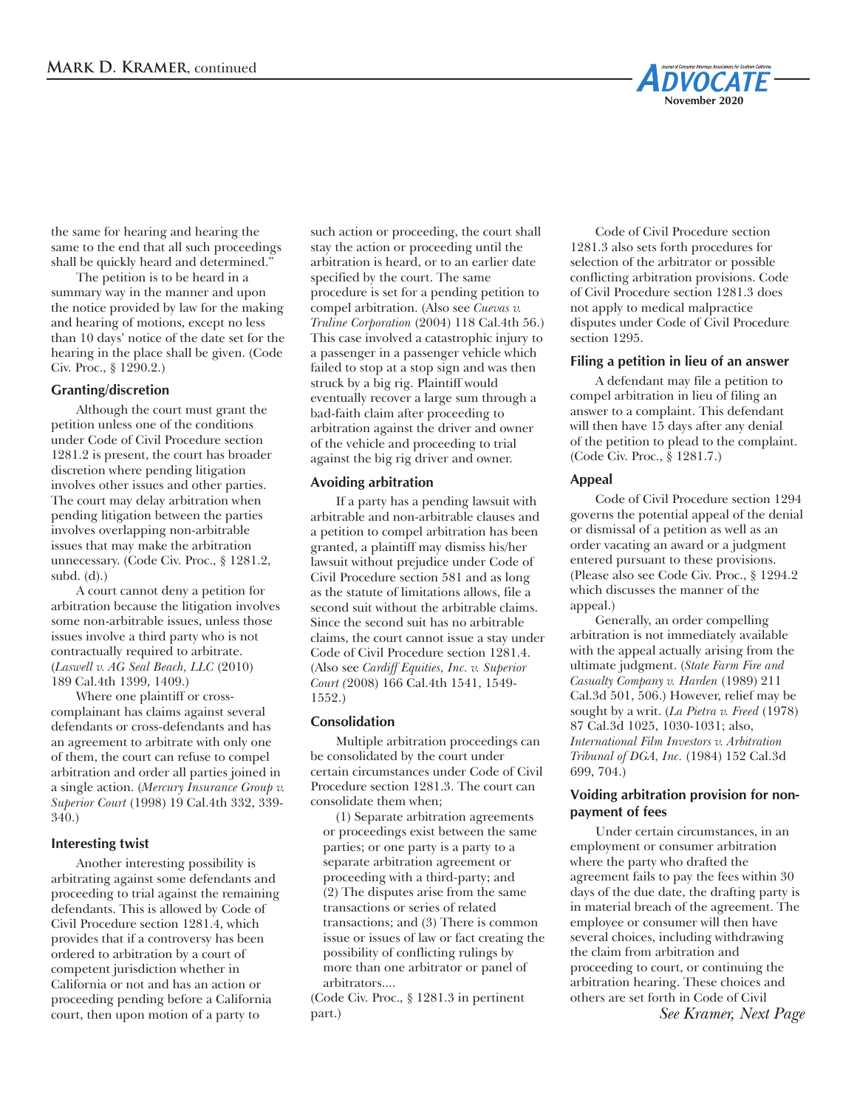

the same for hearing and hearing the same to the end that all such proceedings shall be quickly heard and determined."

The petition is to be heard in a summary way in the manner and upon the notice provided by law for the making and hearing of motions, except no less than 10 days' notice of the date set for the hearing in the place shall be given. (Code Civ. Proc., § 1290.2.)

## **Granting/discretion**

Although the court must grant the petition unless one of the conditions under Code of Civil Procedure section 1281.2 is present, the court has broader discretion where pending litigation involves other issues and other parties. The court may delay arbitration when pending litigation between the parties involves overlapping non-arbitrable issues that may make the arbitration unnecessary. (Code Civ. Proc., § 1281.2, subd. (d).)

A court cannot deny a petition for arbitration because the litigation involves some non-arbitrable issues, unless those issues involve a third party who is not contractually required to arbitrate. (*Laswell v. AG Seal Beach, LLC* (2010) 189 Cal.4th 1399, 1409.)

Where one plaintiff or crosscomplainant has claims against several defendants or cross-defendants and has an agreement to arbitrate with only one of them, the court can refuse to compel arbitration and order all parties joined in a single action. (*Mercury Insurance Group v. Superior Court* (1998) 19 Cal.4th 332, 339- 340.)

## **Interesting twist**

Another interesting possibility is arbitrating against some defendants and proceeding to trial against the remaining defendants. This is allowed by Code of Civil Procedure section 1281.4, which provides that if a controversy has been ordered to arbitration by a court of competent jurisdiction whether in California or not and has an action or proceeding pending before a California court, then upon motion of a party to

such action or proceeding, the court shall stay the action or proceeding until the arbitration is heard, or to an earlier date specified by the court. The same procedure is set for a pending petition to compel arbitration. (Also see *Cuevas v. Truline Corporation* (2004) 118 Cal.4th 56.) This case involved a catastrophic injury to a passenger in a passenger vehicle which failed to stop at a stop sign and was then struck by a big rig. Plaintiff would eventually recover a large sum through a bad-faith claim after proceeding to arbitration against the driver and owner of the vehicle and proceeding to trial against the big rig driver and owner.

# **Avoiding arbitration**

If a party has a pending lawsuit with arbitrable and non-arbitrable clauses and a petition to compel arbitration has been granted, a plaintiff may dismiss his/her lawsuit without prejudice under Code of Civil Procedure section 581 and as long as the statute of limitations allows, file a second suit without the arbitrable claims. Since the second suit has no arbitrable claims, the court cannot issue a stay under Code of Civil Procedure section 1281.4. (Also see *Cardiff Equities, Inc. v. Superior Court (*2008) 166 Cal.4th 1541, 1549- 1552.)

## **Consolidation**

Multiple arbitration proceedings can be consolidated by the court under certain circumstances under Code of Civil Procedure section 1281.3. The court can consolidate them when;

(1) Separate arbitration agreements or proceedings exist between the same parties; or one party is a party to a separate arbitration agreement or proceeding with a third-party; and (2) The disputes arise from the same transactions or series of related transactions; and (3) There is common issue or issues of law or fact creating the possibility of conflicting rulings by more than one arbitrator or panel of arbitrators....

(Code Civ. Proc., § 1281.3 in pertinent part.)

Code of Civil Procedure section 1281.3 also sets forth procedures for selection of the arbitrator or possible conflicting arbitration provisions. Code of Civil Procedure section 1281.3 does not apply to medical malpractice disputes under Code of Civil Procedure section 1295.

# **Filing a petition in lieu of an answer**

A defendant may file a petition to compel arbitration in lieu of filing an answer to a complaint. This defendant will then have 15 days after any denial of the petition to plead to the complaint. (Code Civ. Proc., § 1281.7.)

# **Appeal**

Code of Civil Procedure section 1294 governs the potential appeal of the denial or dismissal of a petition as well as an order vacating an award or a judgment entered pursuant to these provisions. (Please also see Code Civ. Proc., § 1294.2 which discusses the manner of the appeal.)

Generally, an order compelling arbitration is not immediately available with the appeal actually arising from the ultimate judgment. (*State Farm Fire and Casualty Company v. Harden* (1989) 211 Cal.3d 501, 506.) However, relief may be sought by a writ. (*La Pietra v. Freed* (1978) 87 Cal.3d 1025, 1030-1031; also, *International Film Investors v. Arbitration Tribunal of DGA, Inc.* (1984) 152 Cal.3d 699, 704.)

# **Voiding arbitration provision for nonpayment of fees**

Under certain circumstances, in an employment or consumer arbitration where the party who drafted the agreement fails to pay the fees within 30 days of the due date, the drafting party is in material breach of the agreement. The employee or consumer will then have several choices, including withdrawing the claim from arbitration and proceeding to court, or continuing the arbitration hearing. These choices and others are set forth in Code of Civil *See Kramer, Next Page*